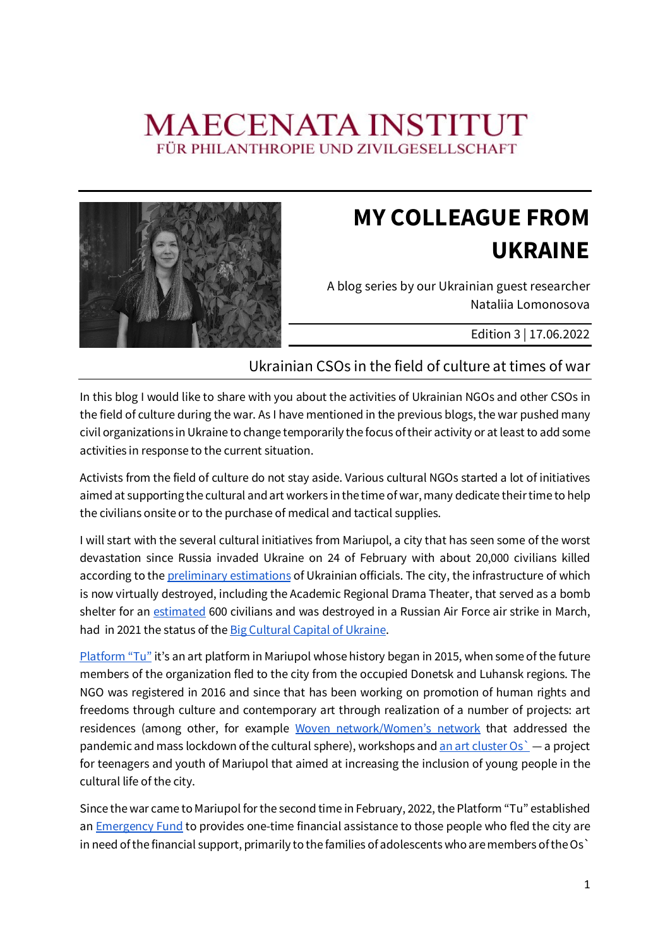## **MAECENATA INSTITUT** FÜR PHILANTHROPIE UND ZIVILGESELLSCHAFT



## **MY COLLEAGUE FROM UKRAINE**

A blog series by our Ukrainian guest researcher Nataliia Lomonosova

Edition 3 | 17.06.2022

## Ukrainian CSOs in the field of culture at times of war

In this blog I would like to share with you about the activities of Ukrainian NGOs and other CSOs in the field of culture during the war. As I have mentioned in the previous blogs, the war pushed many civil organizations in Ukraine to change temporarily the focus of their activity or at least to add some activities in response to the current situation.

Activists from the field of culture do not stay aside. Various cultural NGOs started a lot of initiatives aimed at supporting the cultural and art workers in the time of war, many dedicate their time to help the civilians onsite or to the purchase of medical and tactical supplies.

I will start with the several cultural initiatives from Mariupol, a city that has seen some of the worst devastation since Russia invaded Ukraine on 24 of February with about 20,000 civilians killed according to the preliminary estimations of Ukrainian officials. The city, the infrastructure of which is now virtually destroyed, including the Academic Regional Drama Theater, that served as a bomb shelter for an estimated 600 civilians and was destroyed in a Russian Air Force air strike in March, had in 2021 the status of the Big Cultural Capital of Ukraine.

Platform "Tu" it's an art platform in Mariupol whose history began in 2015, when some of the future members of the organization fled to the city from the occupied Donetsk and Luhansk regions. The NGO was registered in 2016 and since that has been working on promotion of human rights and freedoms through culture and contemporary art through realization of a number of projects: art residences (among other, for example Woven network/Women's network that addressed the pandemic and mass lockdown of the cultural sphere), workshops and an art cluster  $Os^2 - a$  project for teenagers and youth of Mariupol that aimed at increasing the inclusion of young people in the cultural life of the city.

Since the war came to Mariupol for the second time in February, 2022, the Platform "Tu" established an **Emergency Fund** to provides one-time financial assistance to those people who fled the city are in need of the financial support, primarily to the families of adolescents who are members of the Os`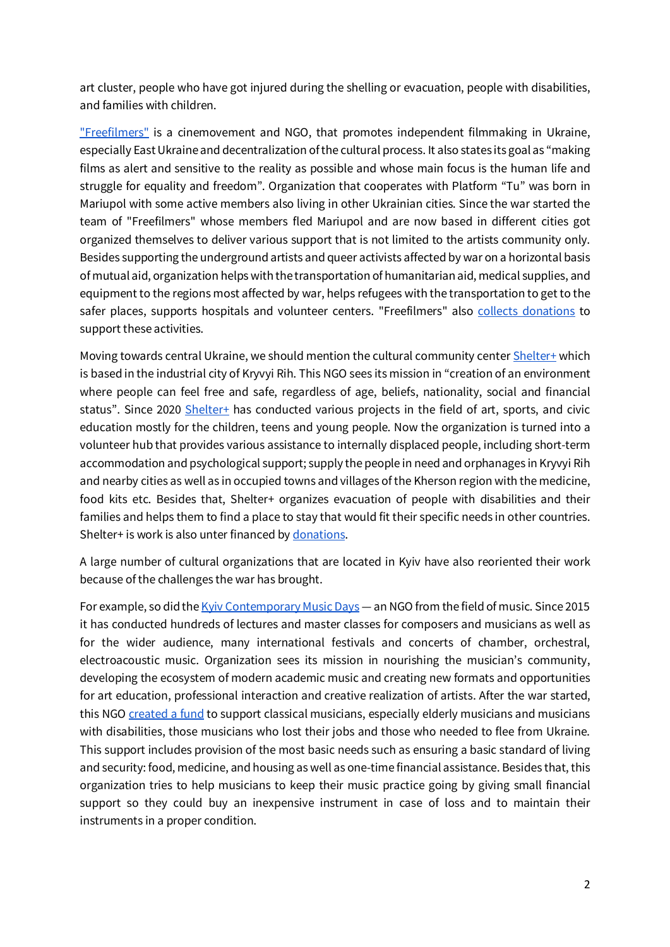art cluster, people who have got injured during the shelling or evacuation, people with disabilities, and families with children.

["Freefilmers"](http://freefilmers-mariupol.tilda.ws/eng) is a cinemovement and NGO, that promotes independent filmmaking in Ukraine, especially East Ukraine and decentralization of the cultural process. It also states its goal as "making films as alert and sensitive to the reality as possible and whose main focus is the human life and struggle for equality and freedom". Organization that cooperates with Platform "Tu" was born in Mariupol with some active members also living in other Ukrainian cities. Since the war started the team of "Freefilmers" whose members fled Mariupol and are now based in different cities got organized themselves to deliver various support that is not limited to the artists community only. Besides supporting the underground artists and queer activists affected by war on a horizontal basis of mutual aid, organization helps with the transportation of humanitarian aid, medical supplies, and equipment to the regions most affected by war, helps refugees with the transportation to get to the safer places, supports hospitals and volunteer centers. "Freefilmers" also collects [donations](https://help-freefilmers.network/?fbclid=IwAR3KKXM3HxRN7blm_Jy8CxQF_5z7GATwT_Ygcy8VJEzz8Yx3mPNJXtfOdzM#modal) to support these activities.

Moving towards central Ukraine, we should mention the cultural community center [Shelter+](https://shelter-plus.com/eng) which is based in the industrial city of Kryvyi Rih. This NGO sees its mission in "creation of an environment where people can feel free and safe, regardless of age, beliefs, nationality, social and financial status". Since 2020 [Shelter+](https://shelter-plus.com/eng) has conducted various projects in the field of art, sports, and civic education mostly for the children, teens and young people. Now the organization is turned into a volunteer hub that provides various assistance to internally displaced people, including short-term accommodation and psychological support; supply the people in need and orphanages in Kryvyi Rih and nearby cities as well as in occupied towns and villages of the Kherson region with the medicine, food kits etc. Besides that, Shelter+ organizes evacuation of people with disabilities and their families and helps them to find a place to stay that would fit their specific needs in other countries. Shelter+ is work is also unter financed by [donations](https://shelter-plus.com/give/eng).

A large number of cultural organizations that are located in Kyiv have also reoriented their work because of the challenges the war has brought.

For example, so did th[e Kyiv Contemporary Music Days](https://en.kcmd.eu/) — an NGO from the field of music. Since 2015 it has conducted hundreds of lectures and master classes for composers and musicians as well as for the wider audience, many international festivals and concerts of chamber, orchestral, electroacoustic music. Organization sees its mission in nourishing the musician's community, developing the ecosystem of modern academic music and creating new formats and opportunities for art education, professional interaction and creative realization of artists. After the war started, this NGO [created a fund](https://en.kcmd.eu/support/) to support classical musicians, especially elderly musicians and musicians with disabilities, those musicians who lost their jobs and those who needed to flee from Ukraine. This support includes provision of the most basic needs such as ensuring a basic standard of living and security: food, medicine, and housing as well as one-time financial assistance. Besides that, this organization tries to help musicians to keep their music practice going by giving small financial support so they could buy an inexpensive instrument in case of loss and to maintain their instruments in a proper condition.